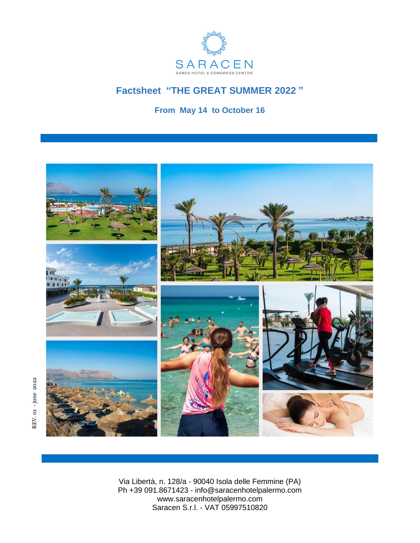

# **Factsheet "THE GREAT SUMMER 2022 "**

**From May 14 to October 16**



Via Libertà, n. 128/a - 90040 Isola delle Femmine (PA) Ph +39 091.8671423 - info@saracenhotelpalermo.com www.saracenhotelpalermo.com Saracen S.r.l. - VAT 05997510820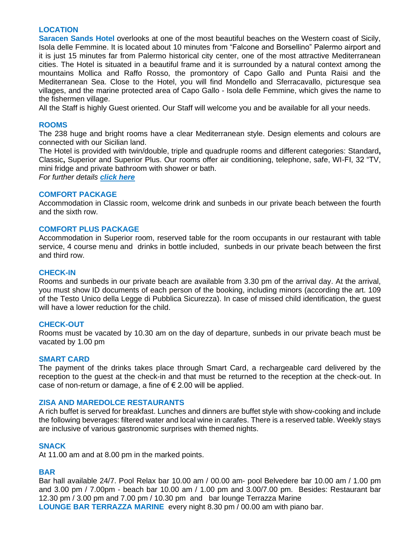# **LOCATION**

**Saracen Sands Hotel** overlooks at one of the most beautiful beaches on the Western coast of Sicily, Isola delle Femmine. It is located about 10 minutes from "Falcone and Borsellino" Palermo airport and it is just 15 minutes far from Palermo historical city center, one of the most attractive Mediterranean cities. The Hotel is situated in a beautiful frame and it is surrounded by a natural context among the mountains Mollica and Raffo Rosso, the promontory of Capo Gallo and Punta Raisi and the Mediterranean Sea. Close to the Hotel, you will find Mondello and Sferracavallo, picturesque sea villages, and the marine protected area of Capo Gallo - Isola delle Femmine, which gives the name to the fishermen village.

All the Staff is highly Guest oriented. Our Staff will welcome you and be available for all your needs.

## **ROOMS**

The 238 huge and bright rooms have a clear Mediterranean style. Design elements and colours are connected with our Sicilian land.

The Hotel is provided with twin/double, triple and quadruple rooms and different categories: Standard**,**  Classic**,** Superior and Superior Plus. Our rooms offer air conditioning, telephone, safe, WI-FI, 32 "TV, mini fridge and private bathroom with shower or bath.

*For further details [click here](https://www.saracenhotelpalermo.com/en/rooms/)*

## **COMFORT PACKAGE**

Accommodation in Classic room, welcome drink and sunbeds in our private beach between the fourth and the sixth row.

## **COMFORT PLUS PACKAGE**

Accommodation in Superior room, reserved table for the room occupants in our restaurant with table service, 4 course menu and drinks in bottle included, sunbeds in our private beach between the first and third row.

## **CHECK-IN**

Rooms and sunbeds in our private beach are available from 3.30 pm of the arrival day. At the arrival, you must show ID documents of each person of the booking, including minors (according the art. 109 of the Testo Unico della Legge di Pubblica Sicurezza). In case of missed child identification, the guest will have a lower reduction for the child.

# **CHECK-OUT**

Rooms must be vacated by 10.30 am on the day of departure, sunbeds in our private beach must be vacated by 1.00 pm

# **SMART CARD**

The payment of the drinks takes place through Smart Card, a rechargeable card delivered by the reception to the guest at the check-in and that must be returned to the reception at the check-out. In case of non-return or damage, a fine of  $\epsilon$  2.00 will be applied.

## **ZISA AND MAREDOLCE RESTAURANTS**

A rich buffet is served for breakfast. Lunches and dinners are buffet style with show-cooking and include the following beverages: filtered water and local wine in carafes. There is a reserved table. Weekly stays are inclusive of various gastronomic surprises with themed nights.

# **SNACK**

At 11.00 am and at 8.00 pm in the marked points.

# **BAR**

Bar hall available 24/7. Pool Relax bar 10.00 am / 00.00 am- pool Belvedere bar 10.00 am / 1.00 pm and 3.00 pm / 7.00pm - beach bar 10.00 am / 1.00 pm and 3.00/7.00 pm. Besides: Restaurant bar 12.30 pm / 3.00 pm and 7.00 pm / 10.30 pm and bar lounge Terrazza Marine **LOUNGE BAR TERRAZZA MARINE** every night 8.30 pm / 00.00 am with piano bar.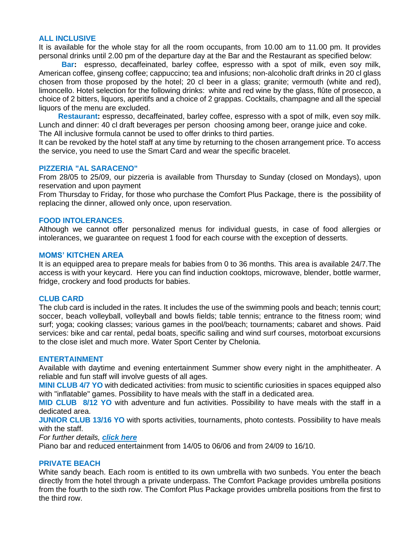## **ALL INCLUSIVE**

It is available for the whole stay for all the room occupants, from 10.00 am to 11.00 pm. It provides personal drinks until 2.00 pm of the departure day at the Bar and the Restaurant as specified below:

 **Bar:** espresso, decaffeinated, barley coffee, espresso with a spot of milk, even soy milk, American coffee, ginseng coffee; cappuccino; tea and infusions; non-alcoholic draft drinks in 20 cl glass chosen from those proposed by the hotel; 20 cl beer in a glass; granite; vermouth (white and red), limoncello. Hotel selection for the following drinks: white and red wine by the glass, flûte of prosecco, a choice of 2 bitters, liquors, aperitifs and a choice of 2 grappas. Cocktails, champagne and all the special liquors of the menu are excluded.

 **Restaurant:** espresso, decaffeinated, barley coffee, espresso with a spot of milk, even soy milk. Lunch and dinner: 40 cl draft beverages per person choosing among beer, orange juice and coke. The All inclusive formula cannot be used to offer drinks to third parties.

It can be revoked by the hotel staff at any time by returning to the chosen arrangement price. To access the service, you need to use the Smart Card and wear the specific bracelet.

#### **PIZZERIA "AL SARACENO"**

From 28/05 to 25/09, our pizzeria is available from Thursday to Sunday (closed on Mondays), upon reservation and upon payment

From Thursday to Friday, for those who purchase the Comfort Plus Package, there is the possibility of replacing the dinner, allowed only once, upon reservation.

## **FOOD INTOLERANCES**.

Although we cannot offer personalized menus for individual guests, in case of food allergies or intolerances, we guarantee on request 1 food for each course with the exception of desserts.

#### **MOMS' KITCHEN AREA**

It is an equipped area to prepare meals for babies from 0 to 36 months. This area is available 24/7.The access is with your keycard. Here you can find induction cooktops, microwave, blender, bottle warmer, fridge, crockery and food products for babies.

## **CLUB CARD**

The club card is included in the rates. It includes the use of the swimming pools and beach; tennis court; soccer, beach volleyball, volleyball and bowls fields; table tennis; entrance to the fitness room; wind surf; yoga; cooking classes; various games in the pool/beach; tournaments; cabaret and shows. Paid services: bike and car rental, pedal boats, specific sailing and wind surf courses, motorboat excursions to the close islet and much more. Water Sport Center by Chelonia.

# **ENTERTAINMENT**

Available with daytime and evening entertainment Summer show every night in the amphitheater. A reliable and fun staff will involve guests of all ages.

**MINI CLUB 4/7 YO** with dedicated activities: from music to scientific curiosities in spaces equipped also with "inflatable" games. Possibility to have meals with the staff in a dedicated area.

**MID CLUB 8/12 YO** with adventure and fun activities. Possibility to have meals with the staff in a dedicated area.

**JUNIOR CLUB 13/16 YO** with sports activities, tournaments, photo contests. Possibility to have meals with the staff.

#### *For further details, [click here](https://www.saracenhotelpalermo.com/en/the-great-summer/entertainment/)*

Piano bar and reduced entertainment from 14/05 to 06/06 and from 24/09 to 16/10.

## **PRIVATE BEACH**

White sandy beach. Each room is entitled to its own umbrella with two sunbeds. You enter the beach directly from the hotel through a private underpass. The Comfort Package provides umbrella positions from the fourth to the sixth row. The Comfort Plus Package provides umbrella positions from the first to the third row.